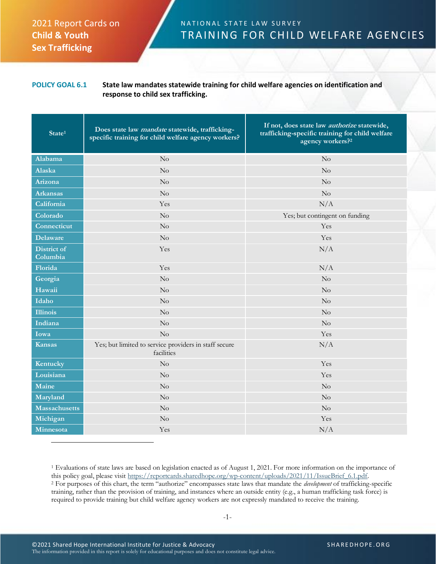## 2021 Report Cards on **Child & Youth Sex Trafficking**

## N A T I O N A L S T A T E L A W S U R V E Y TRAINING FOR CHILD WELFARE AGENCIES

## **POLICY GOAL 6.1 State law mandates statewide training for child welfare agencies on identification and response to child sex trafficking.**

| State <sup>1</sup>             | Does state law mandate statewide, trafficking-<br>specific training for child welfare agency workers? | If not, does state law <i>authorize</i> statewide,<br>trafficking-specific training for child welfare<br>agency workers? <sup>2</sup> |
|--------------------------------|-------------------------------------------------------------------------------------------------------|---------------------------------------------------------------------------------------------------------------------------------------|
| Alabama                        | No                                                                                                    | No                                                                                                                                    |
| Alaska                         | No                                                                                                    | No                                                                                                                                    |
| Arizona                        | No                                                                                                    | No                                                                                                                                    |
| <b>Arkansas</b>                | No                                                                                                    | No                                                                                                                                    |
| California                     | Yes                                                                                                   | N/A                                                                                                                                   |
| Colorado                       | No                                                                                                    | Yes; but contingent on funding                                                                                                        |
| Connecticut                    | $\rm No$                                                                                              | Yes                                                                                                                                   |
| <b>Delaware</b>                | $\rm No$                                                                                              | Yes                                                                                                                                   |
| <b>District of</b><br>Columbia | Yes                                                                                                   | N/A                                                                                                                                   |
| Florida                        | Yes                                                                                                   | N/A                                                                                                                                   |
| Georgia                        | $\rm No$                                                                                              | No                                                                                                                                    |
| Hawaii                         | $\rm No$                                                                                              | No                                                                                                                                    |
| Idaho                          | $\rm No$                                                                                              | No                                                                                                                                    |
| <b>Illinois</b>                | No                                                                                                    | No                                                                                                                                    |
| Indiana                        | $\rm No$                                                                                              | No                                                                                                                                    |
| Iowa                           | No                                                                                                    | Yes                                                                                                                                   |
| <b>Kansas</b>                  | Yes; but limited to service providers in staff secure<br>facilities                                   | N/A                                                                                                                                   |
| Kentucky                       | No                                                                                                    | Yes                                                                                                                                   |
| Louisiana                      | $\rm No$                                                                                              | Yes                                                                                                                                   |
| Maine                          | $\rm No$                                                                                              | No                                                                                                                                    |
| Maryland                       | $\rm No$                                                                                              | No                                                                                                                                    |
| <b>Massachusetts</b>           | $\rm No$                                                                                              | No                                                                                                                                    |
| Michigan                       | No                                                                                                    | Yes                                                                                                                                   |
| Minnesota                      | Yes                                                                                                   | N/A                                                                                                                                   |

<sup>1</sup> Evaluations of state laws are based on legislation enacted as of August 1, 2021. For more information on the importance of this policy goal, please visit [https://reportcards.sharedhope.org/wp-content/uploads/2021/11/IssueBrief\\_6.1.pdf.](https://reportcards.sharedhope.org/wp-content/uploads/2021/11/IssueBrief_6.1.pdf) <sup>2</sup> For purposes of this chart, the term "authorize" encompasses state laws that mandate the *development* of trafficking-specific training, rather than the provision of training, and instances where an outside entity (e.g., a human trafficking task force) is required to provide training but child welfare agency workers are not expressly mandated to receive the training.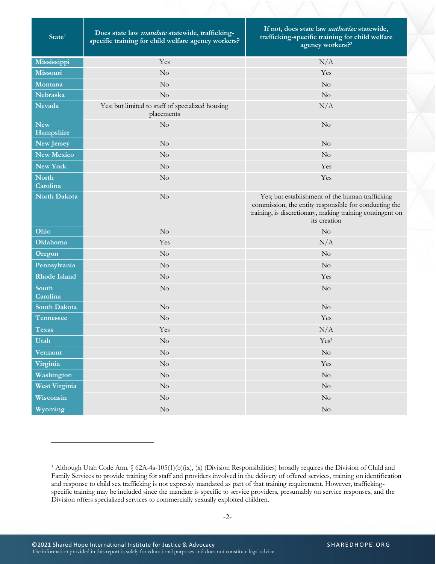| State <sup>1</sup>       | Does state law mandate statewide, trafficking-<br>specific training for child welfare agency workers? | If not, does state law <i>authorize</i> statewide,<br>trafficking-specific training for child welfare<br>agency workers? <sup>2</sup>                                                 |
|--------------------------|-------------------------------------------------------------------------------------------------------|---------------------------------------------------------------------------------------------------------------------------------------------------------------------------------------|
| Mississippi              | Yes                                                                                                   | N/A                                                                                                                                                                                   |
| Missouri                 | $\rm No$                                                                                              | Yes                                                                                                                                                                                   |
| Montana                  | No                                                                                                    | No                                                                                                                                                                                    |
| Nebraska                 | No                                                                                                    | No                                                                                                                                                                                    |
| <b>Nevada</b>            | Yes; but limited to staff of specialized housing<br>placements                                        | N/A                                                                                                                                                                                   |
| <b>New</b><br>Hampshire  | No                                                                                                    | No                                                                                                                                                                                    |
| New Jersey               | $\rm No$                                                                                              | $\rm No$                                                                                                                                                                              |
| <b>New Mexico</b>        | No                                                                                                    | No                                                                                                                                                                                    |
| New York                 | No                                                                                                    | Yes                                                                                                                                                                                   |
| <b>North</b><br>Carolina | No                                                                                                    | Yes                                                                                                                                                                                   |
| <b>North Dakota</b>      | No                                                                                                    | Yes; but establishment of the human trafficking<br>commission, the entity responsible for conducting the<br>training, is discretionary, making training contingent on<br>its creation |
| Ohio                     | No                                                                                                    | No                                                                                                                                                                                    |
| Oklahoma                 | Yes                                                                                                   | N/A                                                                                                                                                                                   |
| Oregon                   | No                                                                                                    | No                                                                                                                                                                                    |
| Pennsylvania             | No                                                                                                    | No                                                                                                                                                                                    |
| <b>Rhode Island</b>      | No                                                                                                    | Yes                                                                                                                                                                                   |
| South<br>Carolina        | No                                                                                                    | No                                                                                                                                                                                    |
| South Dakota             | No                                                                                                    | No                                                                                                                                                                                    |
| Tennessee                | No                                                                                                    | Yes                                                                                                                                                                                   |
| <b>Texas</b>             | Yes                                                                                                   | N/A                                                                                                                                                                                   |
| Utah                     | $\rm No$                                                                                              | $\mathrm{Yes}^3$                                                                                                                                                                      |
| <b>Vermont</b>           | $\rm No$                                                                                              | $\rm No$                                                                                                                                                                              |
| Virginia                 | $\rm No$                                                                                              | Yes                                                                                                                                                                                   |
| Washington               | $\rm No$                                                                                              | $\rm No$                                                                                                                                                                              |
| West Virginia            | $\rm No$                                                                                              | $\rm No$                                                                                                                                                                              |
| Wisconsin                | $\rm No$                                                                                              | $\rm No$                                                                                                                                                                              |
| Wyoming                  | $\rm No$                                                                                              | $\rm No$                                                                                                                                                                              |

<sup>3</sup> Although Utah Code Ann. § 62A-4a-105(1)(b)(ix), (x) (Division Responsibilities) broadly requires the Division of Child and Family Services to provide training for staff and providers involved in the delivery of offered services, training on identification and response to child sex trafficking is not expressly mandated as part of that training requirement. However, traffickingspecific training may be included since the mandate is specific to service providers, presumably on service responses, and the Division offers specialized services to commercially sexually exploited children.